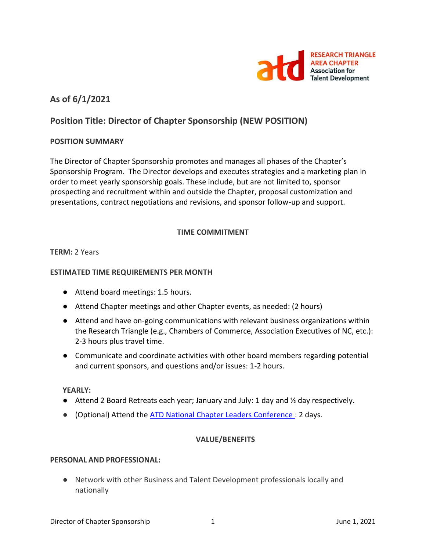

## **As of 6/1/2021**

# **Position Title: Director of Chapter Sponsorship (NEW POSITION)**

## **POSITION SUMMARY**

The Director of Chapter Sponsorship promotes and manages all phases of the Chapter's Sponsorship Program. The Director develops and executes strategies and a marketing plan in order to meet yearly sponsorship goals. These include, but are not limited to, sponsor prospecting and recruitment within and outside the Chapter, proposal customization and presentations, contract negotiations and revisions, and sponsor follow-up and support.

## **TIME COMMITMENT**

## **TERM:** 2 Years

## **ESTIMATED TIME REQUIREMENTS PER MONTH**

- Attend board meetings: 1.5 hours.
- Attend Chapter meetings and other Chapter events, as needed: (2 hours)
- Attend and have on-going communications with relevant business organizations within the Research Triangle (e.g., Chambers of Commerce, Association Executives of NC, etc.): 2-3 hours plus travel time.
- Communicate and coordinate activities with other board members regarding potential and current sponsors, and questions and/or issues: 1-2 hours.

#### **YEARLY:**

- $\bullet$  Attend 2 Board Retreats each year; January and July: 1 day and  $\frac{1}{2}$  day respectively.
- (Optional) Attend the **ATD National Chapter Leaders Conference** : 2 days.

#### **VALUE/BENEFITS**

#### **PERSONAL AND PROFESSIONAL:**

● Network with other Business and Talent Development professionals locally and nationally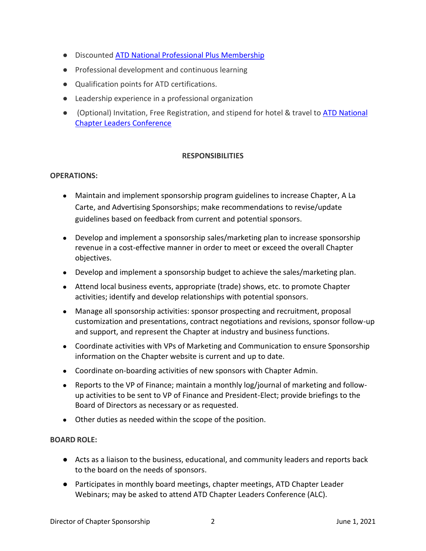- Discounted [ATD National Professional Plus Membership](https://checkout.td.org/Membership)
- Professional development and continuous learning
- Qualification points for ATD certifications.
- Leadership experience in a professional organization
- (Optional) Invitation, Free Registration, and stipend for hotel & travel to ATD National [Chapter Leaders Conference](https://events.td.org/Chapter-Leaders-Conference)

## **RESPONSIBILITIES**

#### **OPERATIONS:**

- Maintain and implement sponsorship program guidelines to increase Chapter, A La Carte, and Advertising Sponsorships; make recommendations to revise/update guidelines based on feedback from current and potential sponsors.
- Develop and implement a sponsorship sales/marketing plan to increase sponsorship revenue in a cost-effective manner in order to meet or exceed the overall Chapter objectives.
- Develop and implement a sponsorship budget to achieve the sales/marketing plan.
- Attend local business events, appropriate (trade) shows, etc. to promote Chapter activities; identify and develop relationships with potential sponsors.
- Manage all sponsorship activities: sponsor prospecting and recruitment, proposal customization and presentations, contract negotiations and revisions, sponsor follow-up and support, and represent the Chapter at industry and business functions.
- Coordinate activities with VPs of Marketing and Communication to ensure Sponsorship information on the Chapter website is current and up to date.
- Coordinate on-boarding activities of new sponsors with Chapter Admin.
- Reports to the VP of Finance; maintain a monthly log/journal of marketing and followup activities to be sent to VP of Finance and President-Elect; provide briefings to the Board of Directors as necessary or as requested.
- Other duties as needed within the scope of the position.

#### **BOARD ROLE:**

- Acts as a liaison to the business, educational, and community leaders and reports back to the board on the needs of sponsors.
- Participates in monthly board meetings, chapter meetings, ATD Chapter Leader Webinars; may be asked to attend ATD Chapter Leaders Conference (ALC).